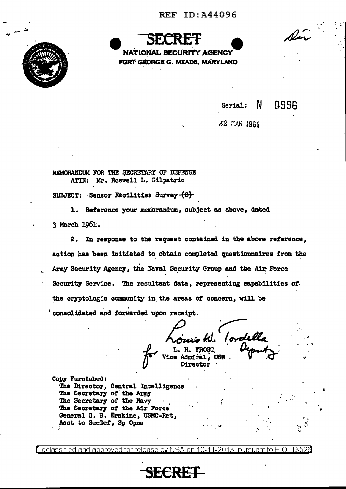

**NATIONAL SECURITY AGENCY** FORT GEORGE G. MEADE, MARYLAND

 $Serial: N$ 

0996

Di

22 GAR 1961

MEMORANDUM FOR THE SECRETARY OF DEFENSE ATTN: Mr. Roswell L. Gilpatric

SUBJECT: Sensor Fácilities Survey  $-\left(\theta\right)$ 

1. Reference your memorandum, subject as above, dated 3 March 1961.

2. In response to the request contained in the above reference, action has been initiated to obtain completed questionnaires from the Army Security Agency, the Naval Security Group and the Air Force Security Service. The resultant data, representing capabilities of the cryptologic community in the areas of concern, will be consolidated and forwarded upon receipt.

L. H. FROST

**Vice Admiral, USN** Director

Copy Furnished: The Director, Central Intelligence. The Secretary of the Army The Secretary of the Navy The Secretary of the Air Force General G. B. Erskine, USMC-Ret, Asst to SecDef, Sp Opns

Declassified and approved for release by NSA on 10-11-2013.